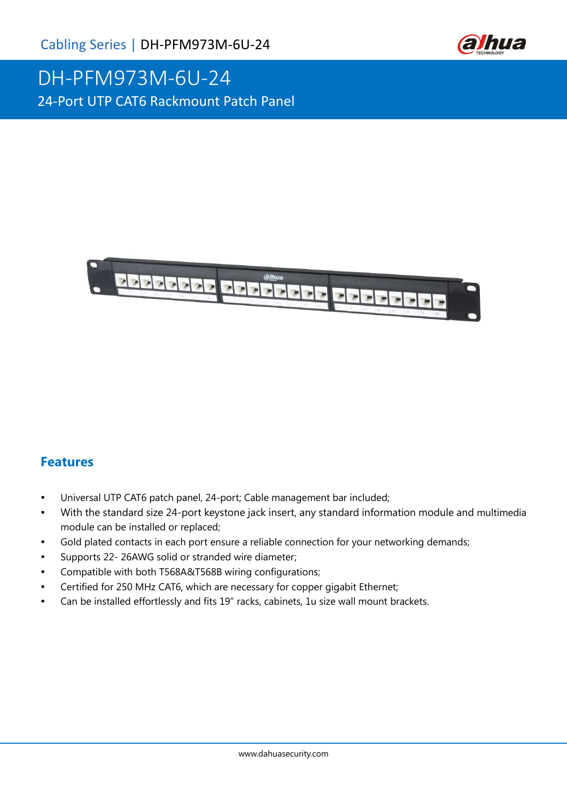

# DH-PFM973M-6U-24 24-Port UTP CAT6 Rackmount Patch Panel



#### **Features**

- Universal UTP CAT6 patch panel, 24-port; Cable management bar included;
- With the standard size 24-port keystone jack insert, any standard information module and multimedia module can be installed or replaced;
- Gold plated contacts in each port ensure a reliable connection for your networking demands;
- Supports 22- 26AWG solid or stranded wire diameter;
- Compatible with both T568A&T568B wiring configurations;
- Certified for 250 MHz CAT6, which are necessary for copper gigabit Ethernet;
- Can be installed effortlessly and fits 19" racks, cabinets, 1u size wall mount brackets.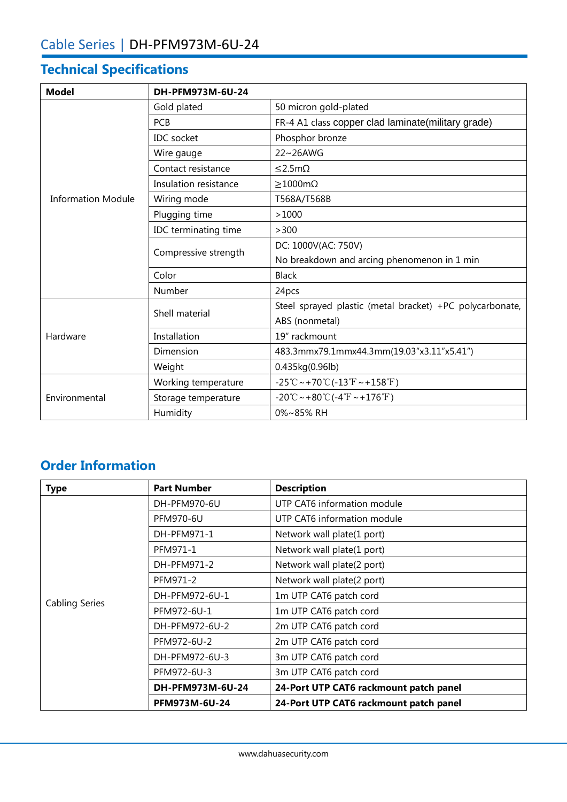## **Technical Specifications**

| <b>Model</b>              | DH-PFM973M-6U-24      |                                                                                                |
|---------------------------|-----------------------|------------------------------------------------------------------------------------------------|
| <b>Information Module</b> | Gold plated           | 50 micron gold-plated                                                                          |
|                           | <b>PCB</b>            | FR-4 A1 class copper clad laminate(military grade)                                             |
|                           | <b>IDC</b> socket     | Phosphor bronze                                                                                |
|                           | Wire gauge            | 22~26AWG                                                                                       |
|                           | Contact resistance    | $< 2.5m\Omega$                                                                                 |
|                           | Insulation resistance | $>1000 \text{m}\Omega$                                                                         |
|                           | Wiring mode           | T568A/T568B                                                                                    |
|                           | Plugging time         | >1000                                                                                          |
|                           | IDC terminating time  | >300                                                                                           |
|                           | Compressive strength  | DC: 1000V(AC: 750V)                                                                            |
|                           |                       | No breakdown and arcing phenomenon in 1 min                                                    |
|                           | Color                 | <b>Black</b>                                                                                   |
|                           | Number                | 24pcs                                                                                          |
| Hardware                  | Shell material        | Steel sprayed plastic (metal bracket) +PC polycarbonate,                                       |
|                           |                       | ABS (nonmetal)                                                                                 |
|                           | Installation          | 19" rackmount                                                                                  |
|                           | Dimension             | 483.3mmx79.1mmx44.3mm(19.03"x3.11"x5.41")                                                      |
|                           | Weight                | 0.435kg(0.96lb)                                                                                |
| Environmental             | Working temperature   | $-25^{\circ}\text{C} \sim +70^{\circ}\text{C} (-13^{\circ}\text{F} \sim +158^{\circ}\text{F})$ |
|                           | Storage temperature   | $-20^{\circ}$ C ~ +80 $^{\circ}$ C (-4 $^{\circ}$ F ~ +176 $^{\circ}$ F)                       |
|                           | Humidity              | 0%~85% RH                                                                                      |

### **Order Information**

| <b>Type</b>           | <b>Part Number</b> | <b>Description</b>                     |
|-----------------------|--------------------|----------------------------------------|
| <b>Cabling Series</b> | DH-PFM970-6U       | UTP CAT6 information module            |
|                       | PFM970-6U          | UTP CAT6 information module            |
|                       | DH-PFM971-1        | Network wall plate(1 port)             |
|                       | PFM971-1           | Network wall plate(1 port)             |
|                       | DH-PFM971-2        | Network wall plate(2 port)             |
|                       | PFM971-2           | Network wall plate(2 port)             |
|                       | DH-PFM972-6U-1     | 1m UTP CAT6 patch cord                 |
|                       | PFM972-6U-1        | 1m UTP CAT6 patch cord                 |
|                       | DH-PFM972-6U-2     | 2m UTP CAT6 patch cord                 |
|                       | PFM972-6U-2        | 2m UTP CAT6 patch cord                 |
|                       | DH-PFM972-6U-3     | 3m UTP CAT6 patch cord                 |
|                       | PFM972-6U-3        | 3m UTP CAT6 patch cord                 |
|                       | DH-PFM973M-6U-24   | 24-Port UTP CAT6 rackmount patch panel |
|                       | PFM973M-6U-24      | 24-Port UTP CAT6 rackmount patch panel |